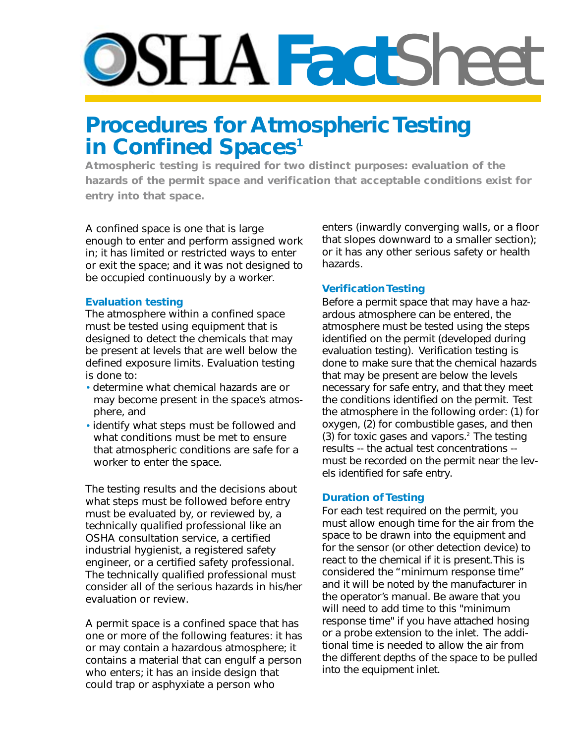# **PSHA Fact**Sheet

# **Procedures for Atmospheric Testing in Confined Spaces<sup>1</sup>**

**Atmospheric testing is required for two distinct purposes: evaluation of the hazards of the permit space and verification that acceptable conditions exist for entry into that space.**

A confined space is one that is large enough to enter and perform assigned work in; it has limited or restricted ways to enter or exit the space; and it was not designed to be occupied continuously by a worker.

## **Evaluation testing**

The atmosphere within a confined space must be tested using equipment that is designed to detect the chemicals that may be present at levels that are well below the defined exposure limits. Evaluation testing is done to:

- determine what chemical hazards are or may become present in the space's atmosphere, and
- identify what steps must be followed and what conditions must be met to ensure that atmospheric conditions are safe for a worker to enter the space.

The testing results and the decisions about what steps must be followed before entry must be evaluated by, or reviewed by, a technically qualified professional like an OSHA consultation service, a certified industrial hygienist, a registered safety engineer, or a certified safety professional. The technically qualified professional must consider all of the serious hazards in his/her evaluation or review.

A permit space is a confined space that has one or more of the following features: it has or may contain a hazardous atmosphere; it contains a material that can engulf a person who enters; it has an inside design that could trap or asphyxiate a person who

enters (inwardly converging walls, or a floor that slopes downward to a smaller section); or it has any other serious safety or health hazards.

# **Verification Testing**

Before a permit space that may have a hazardous atmosphere can be entered, the atmosphere must be tested using the steps identified on the permit (developed during evaluation testing). Verification testing is done to make sure that the chemical hazards that may be present are below the levels necessary for safe entry, and that they meet the conditions identified on the permit. Test the atmosphere in the following order: (1) for oxygen, (2) for combustible gases, and then (3) for toxic gases and vapors.<sup>2</sup> The testing results -- the actual test concentrations - must be recorded on the permit near the levels identified for safe entry.

## **Duration of Testing**

For each test required on the permit, you must allow enough time for the air from the space to be drawn into the equipment and for the sensor (or other detection device) to react to the chemical if it is present. This is considered the "minimum response time" and it will be noted by the manufacturer in the operator's manual. Be aware that you will need to add time to this "minimum response time" if you have attached hosing or a probe extension to the inlet. The additional time is needed to allow the air from the different depths of the space to be pulled into the equipment inlet.